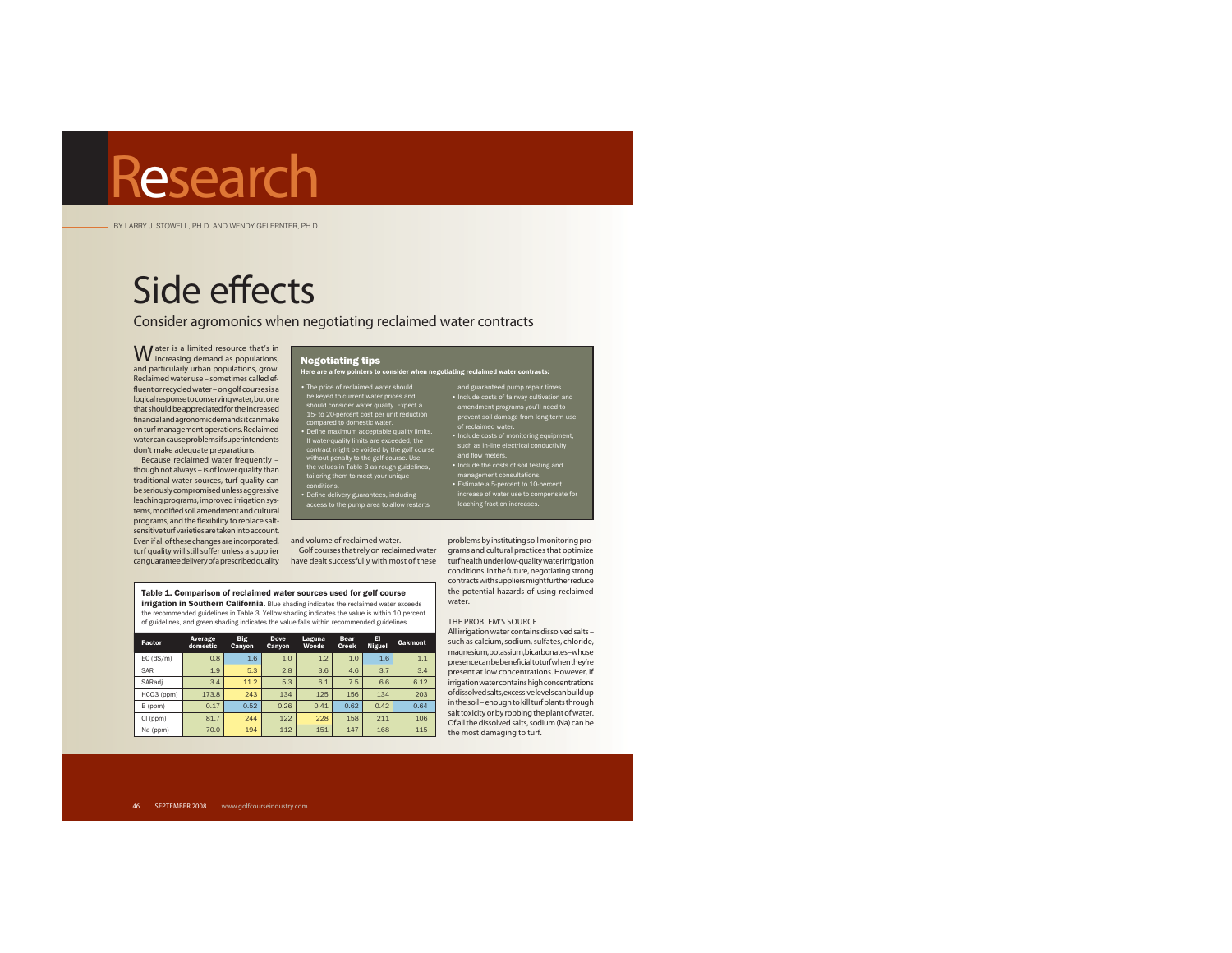BY LARRY J. STOWELL, PH.D. AND WENDY GELERNTER, PH.D.

# Side effects

Consider agromonics when negotiating reclaimed water contracts

W ater is a limited resource that's in<br>increasing demand as populations, and particularly urban populations, grow. Reclaimed water use – sometimes called effluent or recycled water – on golf courses is a logical response to conserving water, but one that should be appreciated for the increased financial and agronomic demands it can make on turf management operations. Reclaimed water can cause problems if superintendents don't make adequate preparations.

Because reclaimed water frequently – though not always – is of lower quality than traditional water sources, turf quality can be seriously compromised unless aggressive leaching programs, improved irrigation systems, modified soil amendment and cultural programs, and the flexibility to replace saltsensitive turf varieties are taken into account. Even if all of these changes are incorporated, and volume of reclaimed water. turf quality will still suffer unless a supplier

#### Negotiating tips Here are a few pointers to consider when negotiating reclaimed water contracts:

• The prios of reclaimed water should<br>the keyed to current water prices and<br>should consider water quality. Expect a<br>15- to 20-percent cost per unit reduction<br>compared to domestic water.<br>• Define maximum acceptable quality

• Define delivery guarantees, including access to the pump area to allow restarts

#### Table 1. Comparison of reclaimed water sources used for golf course **irrigation in Southern California.** Blue shading indicates the reclaimed water exceeds

the recommended guidelines in Table 3. Yellow shading indicates the value is within 10 percent of guidelines, and green shading indicates the value falls within recommended guidelines.

| Factor          | Average<br>domestic | <b>Big</b><br>Canyon | Dove<br>Canyon | Laguna<br>Woods | <b>Bear</b><br><b>Creek</b> | EI<br>Niguel | <b>Oakmont</b> |
|-----------------|---------------------|----------------------|----------------|-----------------|-----------------------------|--------------|----------------|
| $EC$ ( $dS/m$ ) | 0.8                 | 1.6                  | 1.0            | 1.2             | 1.0                         | 1.6          | 1.1            |
| SAR             | 1.9                 | 5.3                  | 2.8            | 3.6             | 4.6                         | 3.7          | 3.4            |
| SARadi          | 3.4                 | 11.2                 | 5.3            | 6.1             | 7.5                         | 6.6          | 6.12           |
| HCO3 (ppm)      | 173.8               | 243                  | 134            | 125             | 156                         | 134          | 203            |
| B (ppm)         | 0.17                | 0.52                 | 0.26           | 0.41            | 0.62                        | 0.42         | 0.64           |
| CI (ppm)        | 81.7                | 244                  | 122            | 228             | 158                         | 211          | 106            |
| Na (ppm)        | 70.0                | 194                  | 112            | 151             | 147                         | 168          | 115            |

## of reclaimed water. • Include costs of monitoring equipment, such as in-line electrical conductivity and flow meters. • Include the costs of soil testing and management consultations. • Estimate a 5-percent to 10-percent increase of water use to compensate for leaching fraction increases.

and guaranteed pump repair times. • Include costs of fairway cultivation and amendment programs you'll need to prevent soil damage from long-term use

can guarantee delivery of a prescribed quality have dealt successfully with most of these turf health under low-quality water irrigation Golf courses that rely on reclaimed water grams and cultural practices that optimize problems by instituting soil monitoring proconditions. In the future, negotiating strong contracts with suppliers might further reduce the potential hazards of using reclaimed water.

#### THE PROBLEM'S SOURCE

 All irrigation water contains dissolved salts – such as calcium, sodium, sulfates, chloride, magnesium, potassium, bicarbonates – whose presence can be beneficial to turf when they're present at low concentrations. However, if irrigation water contains high concentrations of dissolved salts, excessive levels can build up in the soil – enough to kill turf plants through salt toxicity or by robbing the plant of water. Of all the dissolved salts, sodium (Na) can be the most damaging to turf.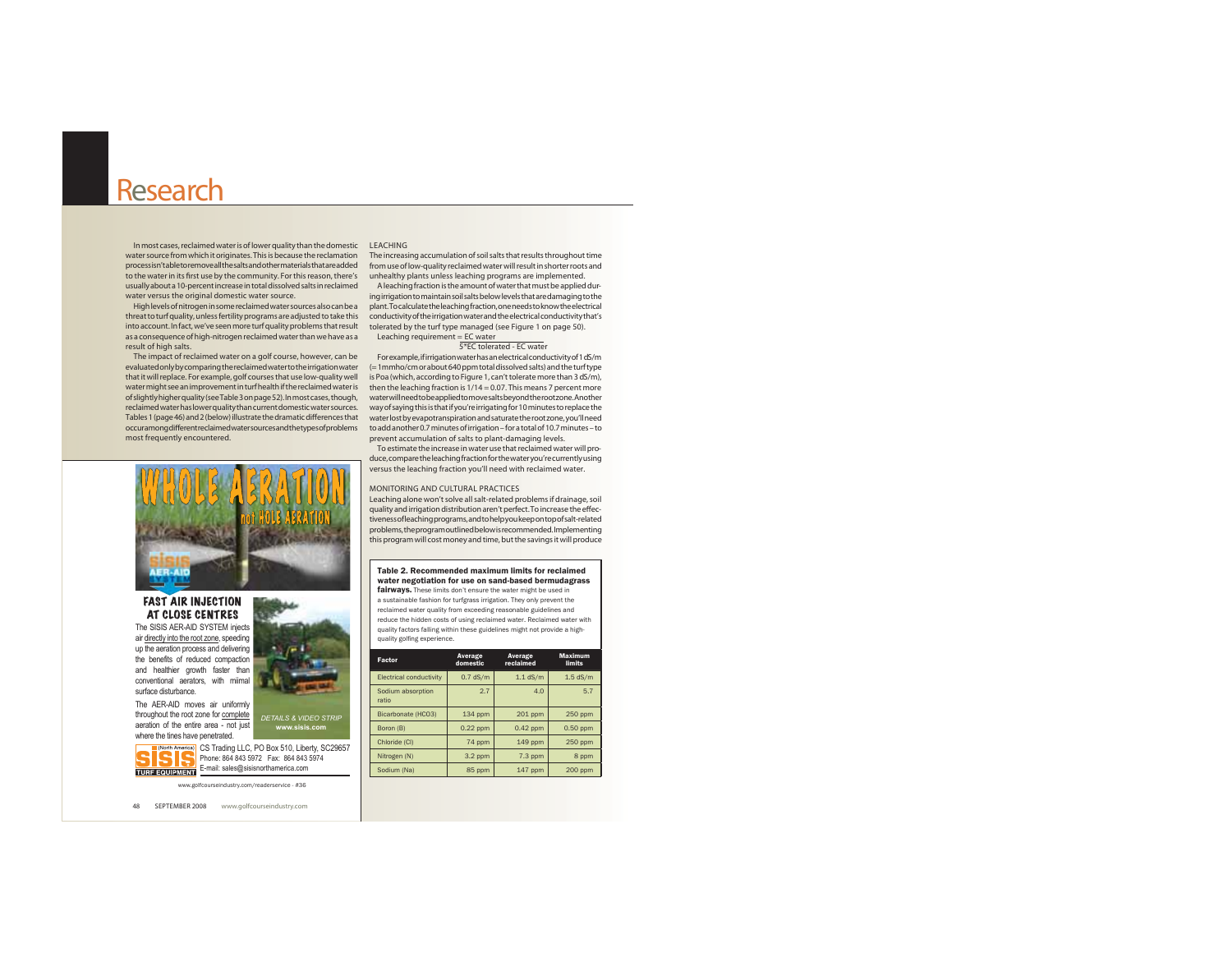In most cases, reclaimed water is of lower quality than the domestic LEACHINGwater source from which it originates. This is because the reclamation process isn't able to remove all the salts and other materials that are added from use of low-quality reclaimed water will result in shorter roots and to the water in its first use by the community. For this reason, there's unhealthy plants unless leaching programs are implemented. usually about a 10-percent increase in total dissolved salts in reclaimed water versus the original domestic water source.

threat to turf quality, unless fertility programs are adjusted to take this into account. In fact, we've seen more turf quality problems that result as a consequence of high-nitrogen reclaimed water than we have as a result of high salts.

The impact of reclaimed water on a golf course, however, can be evaluated only by comparing the reclaimed water to the irrigation water that it will replace. For example, golf courses that use low-quality well water might see an improvement in turf health if the reclaimed water is of slightly higher quality (see Table 3 on page 52). In most cases, though, water will need to be applied to move salts beyond the root zone. Another reclaimed water has lower quality than current domestic water sources. Tables 1 (page 46) and 2 (below) illustrate the dramatic differences that occur among different reclaimed water sources and the types of problems most frequently encountered.

The increasing accumulation of soil salts that results throughout time

High levels of nitrogen in some reclaimed water sources also can be a plant. To calculate the leaching fraction, one needs to know the electrical A leaching fraction is the amount of water that must be applied during irrigation to maintain soil salts below levels that are damaging to the conductivity of the irrigation water and the electrical conductivity that's tolerated by the turf type managed (see Figure 1 on page 50). Leaching requirement = EC water

#### 5\*EC tolerated - EC water

For example, if irrigation water has an electrical conductivity of 1 dS/m (= 1mmho/cm or about 640 ppm total dissolved salts) and the turf type is Poa (which, according to Figure 1, can't tolerate more than 3 dS/m), then the leaching fraction is 1/14 = 0.07. This means 7 percent more way of saying this is that if you're irrigating for 10 minutes to replace the water lost by evapotranspiration and saturate the root zone, you'll need to add another 0.7 minutes of irrigation – for a total of 10.7 minutes – to prevent accumulation of salts to plant-damaging levels.

To estimate the increase in water use that reclaimed water will produce, compare the leaching fraction for the water you're currently using versus the leaching fraction you'll need with reclaimed water.

#### MONITORING AND CULTURAL PRACTICES

 Leaching alone won't solve all salt-related problems if drainage, soil quality and irrigation distribution aren't perfect. To increase the effectiveness of leaching programs, and to help you keep on top of salt-related problems, the program outlined below is recommended. Implementing this program will cost money and time, but the savings it will produce

#### Table 2. Recommended maximum limits for reclaimed water negotiation for use on sand-based bermudagrass

fairways. These limits don't ensure the water might be used in a sustainable fashion for turfgrass irrigation. They only prevent the reclaimed water quality from exceeding reasonable guidelines and reduce the hidden costs of using reclaimed water. Reclaimed water with quality factors falling within these guidelines might not provide a highquality golfing experience.

| Factor                         | Average<br>domestic | Average<br>reclaimed | <b>Maximum</b><br>limits |  |
|--------------------------------|---------------------|----------------------|--------------------------|--|
| <b>Electrical conductivity</b> | $0.7$ dS/m          | $1.1$ dS/m           | $1.5$ dS/m               |  |
| Sodium absorption<br>ratio     | 2.7                 | 4.0                  | 5.7                      |  |
| Bicarbonate (HCO3)             | 134 ppm             | 201 ppm              | 250 ppm                  |  |
| Boron (B)                      | $0.22$ ppm          | $0.42$ ppm           | $0.50$ ppm               |  |
| Chloride (CI)                  | 74 ppm              | 149 ppm              | 250 ppm                  |  |
| Nitrogen (N)                   | $3.2$ ppm           | $7.3$ ppm            | 8 ppm                    |  |
| Sodium (Na)                    | 85 ppm              | 147 ppm              | 200 ppm                  |  |

www.golfcourseindustry.com/readerservice - #36

48 SEPTEMBER 2008 www.golfcourseindustry.com

#### FAST AIR INJECTION AT CLOSE CENTRES

The SISIS AER-AID SYSTEM injects air directly into the root zone, speeding up the aeration process and delivering the benefits of reduced compaction and healthier growth faster than conventional aerators, with miimal surface disturbance.

The AER-AID moves air uniformly throughout the root zone for complete aeration of the entire area - not just where the tines have penetrated.

CS Trading LLC, PO Box 510, Liberty, SC29657 Phone: 864 843 5972 Fax: 864 843 5974 E-mail: sales@sisisnorthamerica.com **TURF EQUIPMENT** 

**www.sisis.com**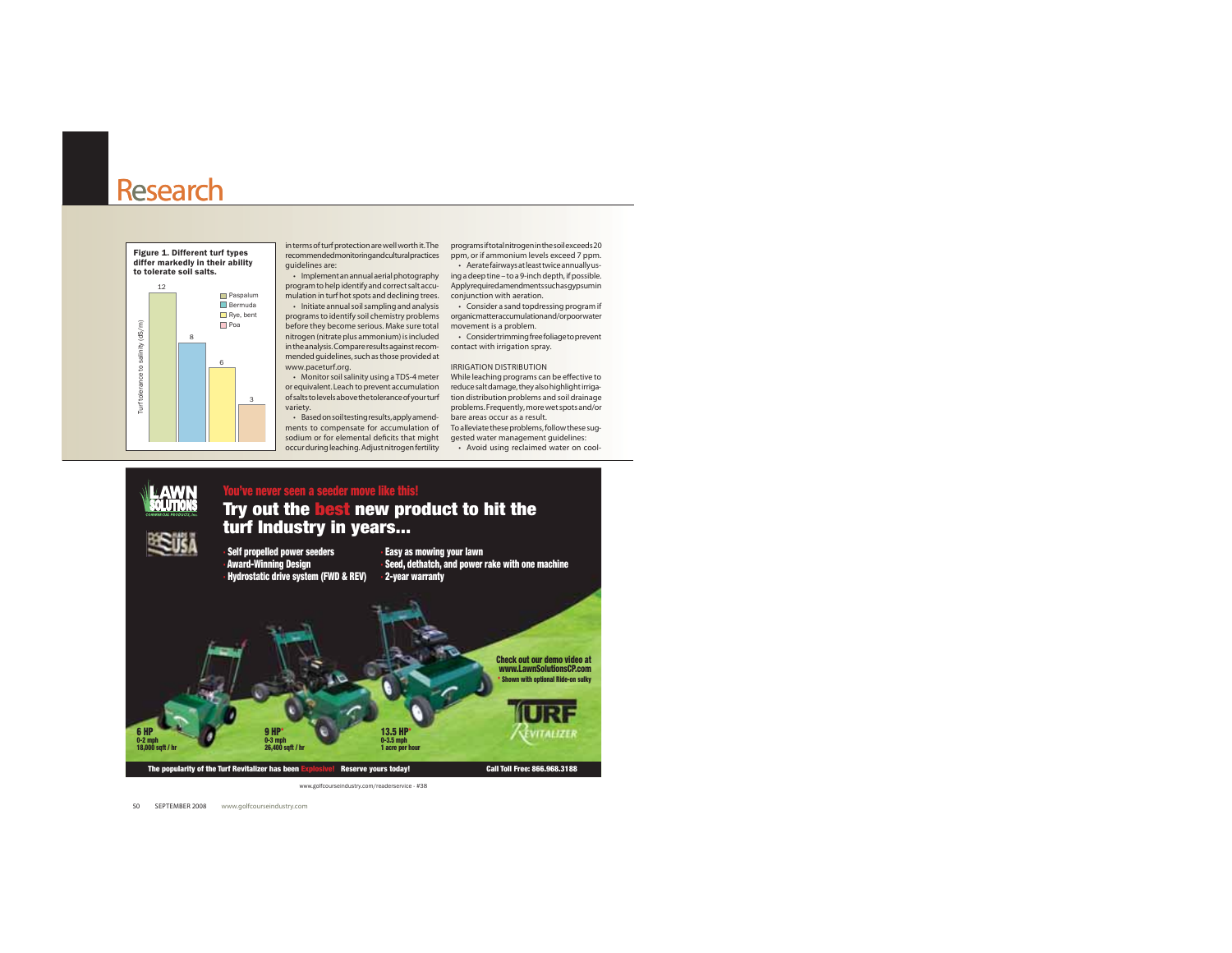

guidelines are:

program to help identify and correct salt accu-Apply required amendments such as gypsum in mulation in turf hot spots and declining trees. conjunction with aeration.

before they become serious. Make sure total movement is a problem. nitrogen (nitrate plus ammonium) is included  $\qquad \cdot \quad$  Consider trimming free foliage to prevent in the analysis. Compare results against recom-contact with irrigation spray. mended guidelines, such as those provided at www.paceturf.org.

or equivalent. Leach to prevent accumulation reduce salt damage, they also highlight irrigaof salts to levels above the tolerance of your turf tion distribution problems and soil drainage variety.

• Based on soil testing results, apply amend- bare areas occur as a result. ments to compensate for accumulation of To alleviate these problems, follow these sugsodium or for elemental deficits that might gested water management guidelines:

in terms of turf protection are well worth it. The programs if total nitrogen in the soil exceeds 20 recommendedmonitoringandculturalpractices ppm, or if ammonium levels exceed 7 ppm. the Aerate fairways at least twice annually us-

- Implement an annual aerial photography  $\quad$  ing a deep tine – to a 9-inch depth, if possible.

initiate annual soil sampling and analysis of the solider a sand topdressing program if . . . . . . . . . . . .<br>programs to identify soil chemistry problems organicmatteraccumulationand/orpoorwater

. Monitor soil salinity using a TDS-4 meter While leaching programs can be effective to IRRIGATION DISTRIBUTIONproblems. Frequently, more wet spots and/or

occur during leaching. Adjust nitrogen fertility • Avoid using reclaimed water on cool-

#### **LAWN**<br>**SOLUTIONS You've never seen a seeder move like this! Try out the best new product to hit the turf Industry in years... ESUSA · Self propelled power seeders · Award-Winning Design · Hydrostatic drive system (FWD & REV) · Easy as mowing your lawn · Seed, dethatch, and power rake with one machine · 2-year warranty Check out our demo video at www.LawnSolutionsCP.com\* Shown with optional Ride-on sulky 13.5 HP 6 HP9 HP\*** ÉVITALIZER **0-3.5 mph 0-2 mph 0-3 mph 26,400 sqft / hr 1 acre per hour 18,000 sqft / hr** The popularity of the Turf Revitalizer has been Explosive! Reserve yours today! Call Toll Free: 866.968.3188 www.golfcourseindustry.com/readerservice - #38

50 SEPTEMBER 2008 www.golfcourseindustry.com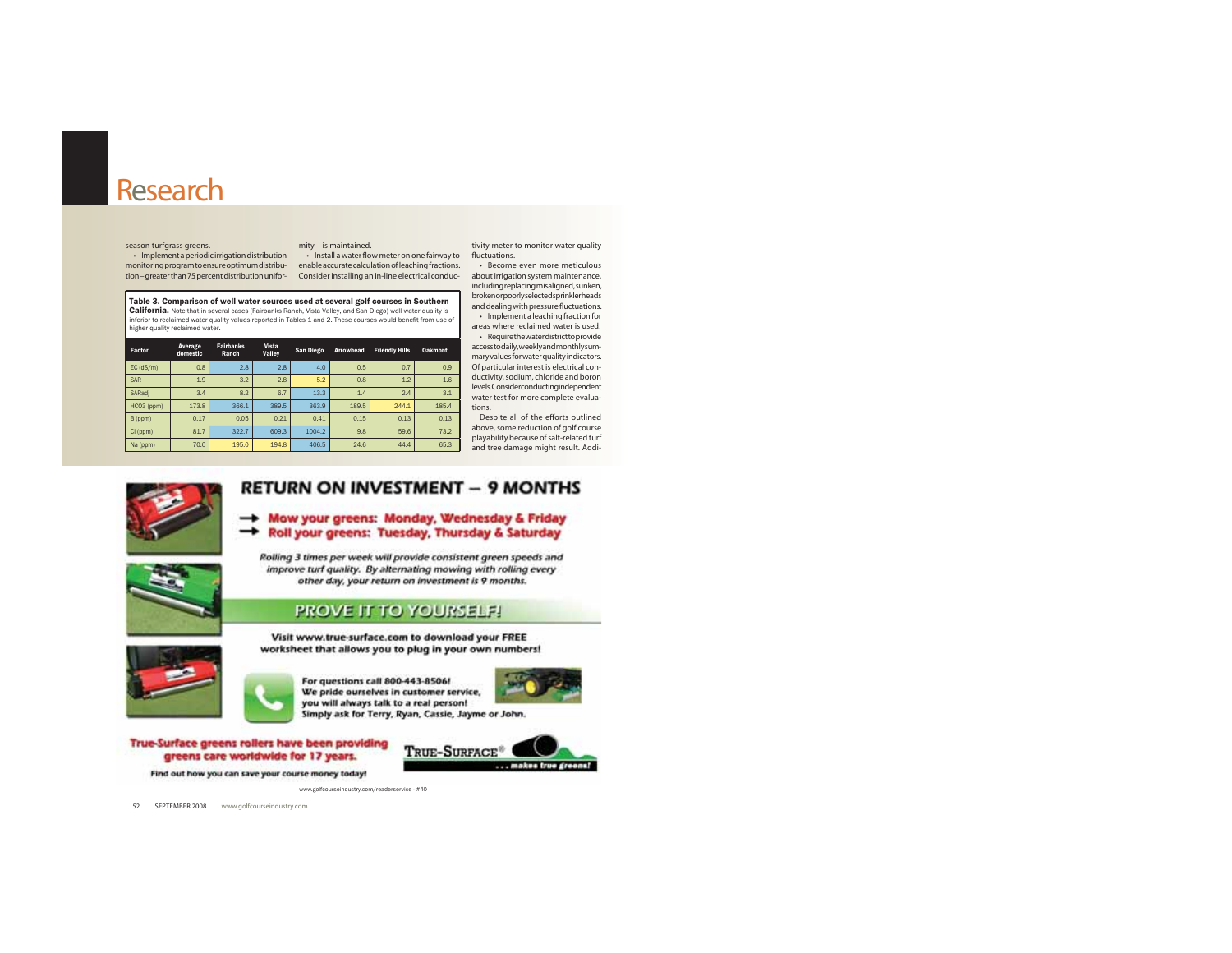Implement a periodic irrigation distribution b and the stall a water flow meter on one fairway to fluctuations. season turfgrass greens. monitoring program to ensure optimum distribu- enable accurate calculation of leaching fractions. tion – greater than 75 percent distribution unity – is maintained.<br>
• Install a water flow meter on one fairway to<br>
https://web.urb.consider installation of leaching fractions.<br>
https://web.urb.consider installing an in-li

tivity meter to monitor water quality

Table 3. Comparison of well water sources used at several golf courses in Southern California. Note that in several cases (Fairbanks Ranch, Vista Valley, and San Diego) well water quality is inferior to reclaimed water quality values reported in Tables 1 and 2. These courses would benefit from use of higher quality reclaimed water.

| Factor      | Average<br>domestic | <b>Fairbanks</b><br>Ranch | Vista<br>Valley | San Diego | Arrowhead | <b>Friendly Hills</b> | <b>Oakmont</b> |
|-------------|---------------------|---------------------------|-----------------|-----------|-----------|-----------------------|----------------|
| $EC$ (dS/m) | 0.8                 | 2.8                       | 2.8             | 4.0       | 0.5       | 0.7                   | 0.9            |
| <b>SAR</b>  | 1.9                 | 3.2                       | 2.8             | 5.2       | 0.8       | 1.2                   | 1.6            |
| SARadi      | 3.4                 | 8.2                       | 6.7             | 13.3      | 1.4       | 2.4                   | 3.1            |
| HCO3 (ppm)  | 173.8               | 366.1                     | 389.5           | 363.9     | 189.5     | 244.1                 | 185.4          |
| B (ppm)     | 0.17                | 0.05                      | 0.21            | 0.41      | 0.15      | 0.13                  | 0.13           |
| CI (ppm)    | 81.7                | 322.7                     | 609.3           | 1004.2    | 9.8       | 59.6                  | 73.2           |
| Na (ppm)    | 70.0                | 195.0                     | 194.8           | 406.5     | 24.6      | 44.4                  | 65.3           |

• Become even more meticulous about irrigation system maintenance, including replacing misaligned, sunken, broken or poorly selected sprinkler heads and dealing with pressure fluctuations.  $\cdot$  Implement a leaching fraction for

areas where reclaimed water is used.· Requirethewaterdistricttoprovide access to daily, weekly and monthly summary values for water quality indicators. Of particular interest is electrical conductivity, sodium, chloride and boron levels. Consider conducting independent water test for more complete evaluations.

 Despite all of the efforts outlined above, some reduction of golf course playability because of salt-related turf and tree damage might result. Addi-



### **RETURN ON INVESTMENT - 9 MONTHS**

- Mow your greens: Monday, Wednesday & Friday Roll your greens: Tuesday, Thursday & Saturday



Rolling 3 times per week will provide consistent green speeds and improve turf quality. By alternating mowing with rolling every other day, your return on investment is 9 months.

#### **PROVE IT TO YOURSELF!**

Visit www.true-surface.com to download your FREE worksheet that allows you to plug in your own numbers!

www.golfcourseindustry.com/readerservice - #40



For questions call 800-443-8506! We pride ourselves in customer service, you will always talk to a real person! Simply ask for Terry, Ryan, Cassie, Jayme or John.



True-Surface greens rollers have been providing greens care worldwide for 17 years. Find out how you can save your course money today!



52 SEPTEMBER 2008 www.golfcourseindustry.com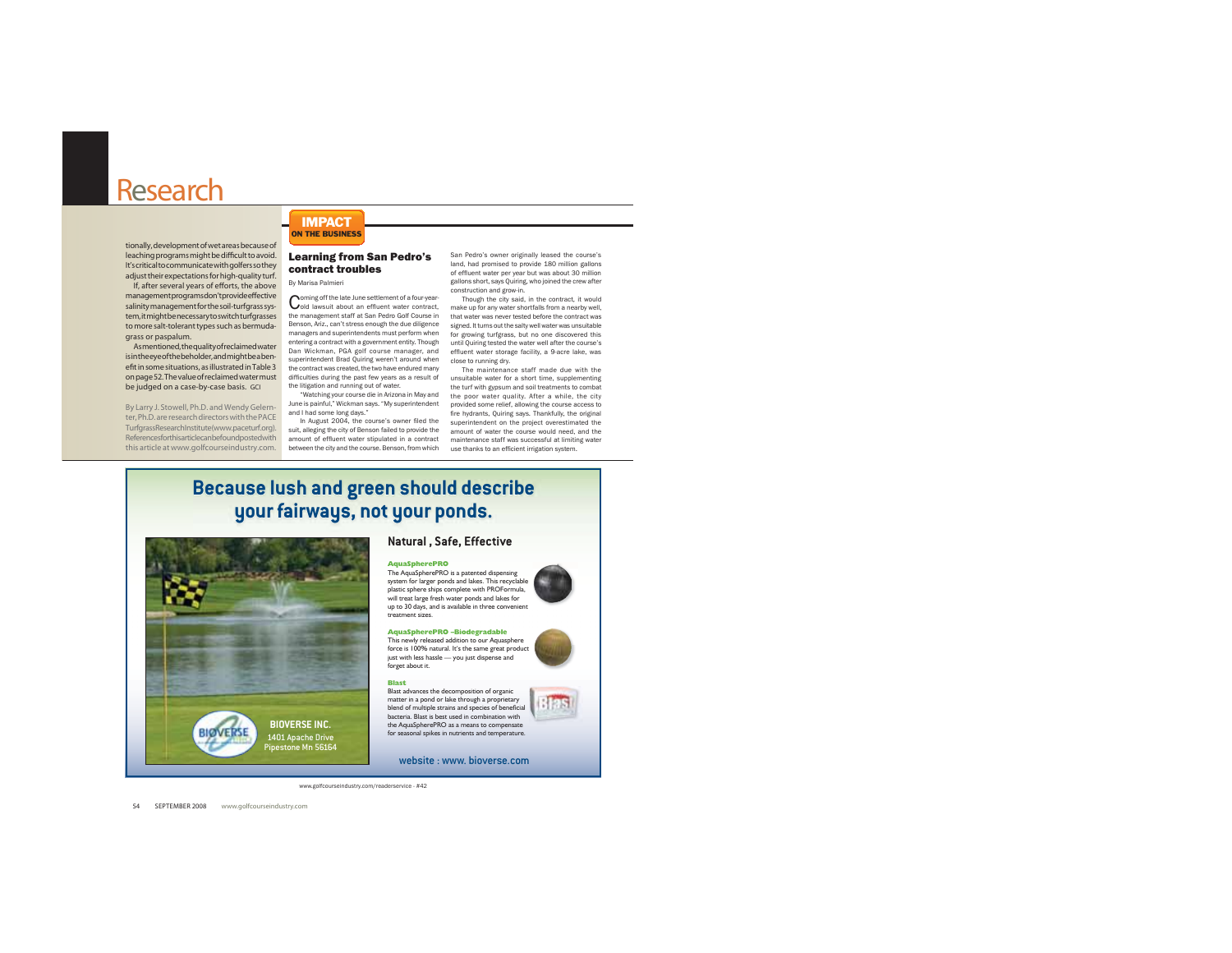tionally, development of wet areas because of leaching programs might be difficult to avoid. It's critical to communicate with golfers so they adjust their expectations for high-quality turf.

If, after several years of efforts, the above managementprogramsdon'tprovideeffective salinity management for the soil-turfgrass system, it might be necessary to switch turfqrasses to more salt-tolerant types such as bermudagrass or paspalum.

Asmentioned, the quality of reclaimed water is in the eye of the beholder, and might be a benefit in some situations, as illustrated in Table 3 on page 52. The value of reclaimed water must be judged on a case-by-case basis. GCI

By Larry J. Stowell, Ph.D. and Wendy Gelernter. Ph.D. are research directors with the PACE TurfgrassResearchInstitute(www.paceturf.org). Referencesforthisarticlecanbefoundpostedwith this article at www.golfcourseindustry.com.

**IMPACT ON THE BUSINESS** 

#### **Learning from San Pedro's** contract troubles By Marisa Palmieri

Coming off the late June settlement of a four-year-<br>Cold lawsuit about an effluent water contract. the management staff at San Pedro Golf Course in Benson, Ariz., can't stress enough the due diligence managers and superintendents must perform when for growing turfgrass, but no one discovered this entering a contract with a government entity. Though Dan Wickman, PGA golf course manager, and<br>superintendent Brad Quiring weren't around when<br>close to running dry. the contract was created, the two have endured many difficulties during the past few years as a result of the litigation and running out of water.

and I had some long days." In August 2004, the course's owner filed the

suit, alleging the city of Benson failed to provide the amount of effluent water stipulated in a contract between the city and the course. Benson, from which use thanks to an efficient irrigation system.

San Pedro's owner originally leased the course's land, had promised to provide 180 million gallons of effluent water per year but was about 30 million gallons short, says Quiring, who joined the crew after construction and grow-in.

Though the city said, in the contract, it would make up for any water shortfalls from a nearby well, that water was never tested before the contract was signed, It turns out the salty well water was unsuitable until Quiring tested the water well after the course's close to running dry.

The maintenance staff made due with the unsuitable water for a short time, supplementing the turf with gypsum and soil treatments to combat "Watching your course die in Arizona in May and the poor water quality. After a while, the city June is painful," Wickman says. "My superintendent provided some relief, allowing the course access to fire hydrants, Quiring says. Thankfully, the original superintendent on the project overestimated the amount of water the course would need, and the maintenance staff was successful at limiting water

6125

# **Because lush and green should describe** your fairways, not your ponds.



#### Natural, Safe, Effective

#### **AquaSpherePRO** The AquaSpherePRO is a patented dispensing



AquaSpherePRO -Biodegradable This newly released addition to our Aquasphere force is 100% natural. It's the same great product just with less hassle — you just dispense and forget about it.

Blast advances the decomposition of organic

**Blast** 

matter in a pond or lake through a proprietary<br>blend of multiple strains and species of beneficial bacteria. Blast is best used in combination with

the AguaSpherePRO as a means to compensate for seasonal spikes in nutrients and temperature.

website : www. bioverse.com

www.golfcourseindustry.com/readerservice - #42

54 SEPTEMBER 2008 www.golfcourseindustry.com